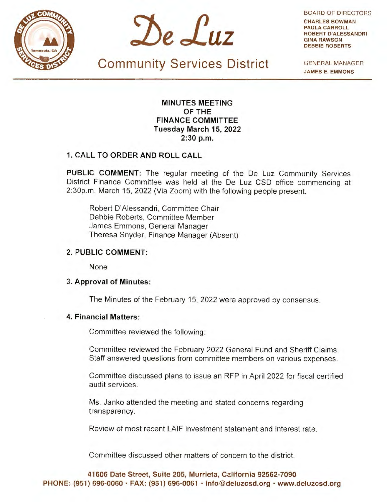



BOARD OF DIRECTORS **CHARLES BOWMAN PAULA CARROLL ROBERT D'ALESSANDRI GINA RAWSON DEBBIE ROBERTS** 

**Community Services District** 

GENERAL MANAGER **JAMES E. EMMONS** 

**MINUTES MEETING OF THE FINANCE COMMITTEE Tuesday March 15, 2022 2:30 p.m.** 

### **1. CALL TO ORDER AND ROLL CALL**

**PUBLIC COMMENT:** The regular meeting of the De Luz Community Services District Finance Committee was held at the De Luz CSD office commencing at 2:30p.m. March 15, 2022 (Via Zoom) with the following people present.

Robert D'Alessandri, Committee Chair Debbie Roberts, Committee Member James Emmons, General Manager Theresa Snyder, Finance Manager (Absent)

#### **2. PUBLIC COMMENT:**

None

#### **3. Approval of Minutes:**

The Minutes of the February 15, 2022 were approved by consensus.

## **4. Financial Matters:**

Committee reviewed the following:

Committee reviewed the February 2022 General Fund and Sheriff Claims. Staff answered questions from committee members on various expenses.

Committee discussed plans to issue an RFP in April 2022 for fiscal certified audit services.

Ms. Janko attended the meeting and stated concerns regarding transparency.

Review of most recent LAIF investment statement and interest rate.

Committee discussed other matters of concern to the district.

**41606 Date Street, Suite 205, Murrieta, California 92562-7090 PHONE: (951) 696-0060 · FAX: (951) 696-0061 · info@deluzcsd.org • www.deluzcsd.org**